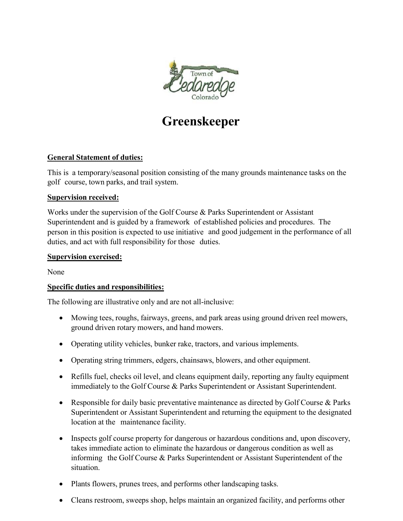

# **Greenskeeper**

# **General Statement of duties:**

This is a temporary/seasonal position consisting of the many grounds maintenance tasks on the golf course, town parks, and trail system.

## **Supervision received:**

Works under the supervision of the Golf Course & Parks Superintendent or Assistant Superintendent and is guided by a framework of established policies and procedures. The person in this position is expected to use initiative and good judgement in the performance of all duties, and act with full responsibility for those duties.

#### **Supervision exercised:**

None

## **Specific duties and responsibilities:**

The following are illustrative only and are not all-inclusive:

- Mowing tees, roughs, fairways, greens, and park areas using ground driven reel mowers, ground driven rotary mowers, and hand mowers.
- Operating utility vehicles, bunker rake, tractors, and various implements.
- Operating string trimmers, edgers, chainsaws, blowers, and other equipment.
- Refills fuel, checks oil level, and cleans equipment daily, reporting any faulty equipment immediately to the Golf Course & Parks Superintendent or Assistant Superintendent.
- Responsible for daily basic preventative maintenance as directed by Golf Course & Parks Superintendent or Assistant Superintendent and returning the equipment to the designated location at the maintenance facility.
- Inspects golf course property for dangerous or hazardous conditions and, upon discovery, takes immediate action to eliminate the hazardous or dangerous condition as well as informing the Golf Course & Parks Superintendent or Assistant Superintendent of the situation.
- Plants flowers, prunes trees, and performs other landscaping tasks.
- Cleans restroom, sweeps shop, helps maintain an organized facility, and performs other